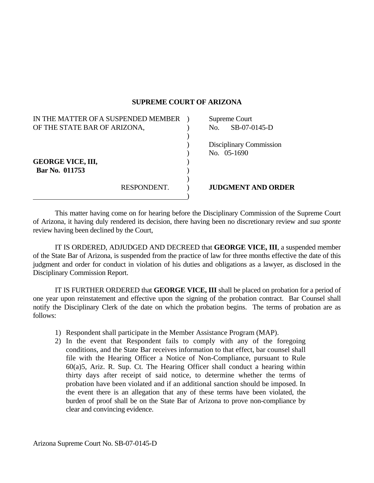## **SUPREME COURT OF ARIZONA**

| IN THE MATTER OF A SUSPENDED MEMBER |             |     | Supreme Court             |
|-------------------------------------|-------------|-----|---------------------------|
| OF THE STATE BAR OF ARIZONA,        |             | No. | SB-07-0145-D              |
|                                     |             |     |                           |
|                                     |             |     | Disciplinary Commission   |
|                                     |             |     | No. 05-1690               |
| <b>GEORGE VICE, III,</b>            |             |     |                           |
| Bar No. 011753                      |             |     |                           |
|                                     | RESPONDENT. |     | <b>JUDGMENT AND ORDER</b> |
|                                     |             |     |                           |

 This matter having come on for hearing before the Disciplinary Commission of the Supreme Court of Arizona, it having duly rendered its decision, there having been no discretionary review and *sua sponte* review having been declined by the Court,

 IT IS ORDERED, ADJUDGED AND DECREED that **GEORGE VICE, III**, a suspended member of the State Bar of Arizona, is suspended from the practice of law for three months effective the date of this judgment and order for conduct in violation of his duties and obligations as a lawyer, as disclosed in the Disciplinary Commission Report.

 IT IS FURTHER ORDERED that **GEORGE VICE, III** shall be placed on probation for a period of one year upon reinstatement and effective upon the signing of the probation contract. Bar Counsel shall notify the Disciplinary Clerk of the date on which the probation begins. The terms of probation are as follows:

- 1) Respondent shall participate in the Member Assistance Program (MAP).
- 2) In the event that Respondent fails to comply with any of the foregoing conditions, and the State Bar receives information to that effect, bar counsel shall file with the Hearing Officer a Notice of Non-Compliance, pursuant to Rule 60(a)5, Ariz. R. Sup. Ct. The Hearing Officer shall conduct a hearing within thirty days after receipt of said notice, to determine whether the terms of probation have been violated and if an additional sanction should be imposed. In the event there is an allegation that any of these terms have been violated, the burden of proof shall be on the State Bar of Arizona to prove non-compliance by clear and convincing evidence.